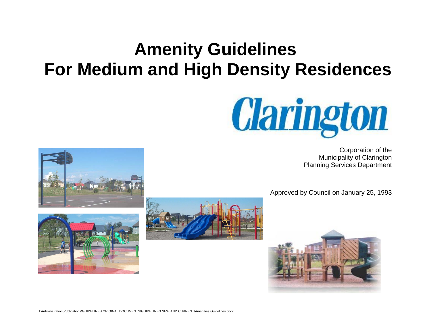# **Amenity Guidelines For Medium and High Density Residences**



Corporation of the Municipality of Clarington Planning Services Department

Approved by Council on January 25, 1993





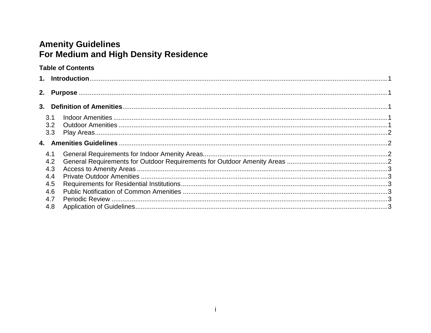## **Amenity Guidelines** For Medium and High Density Residence

## **Table of Contents**

|  | 3.1        |  |  |  |
|--|------------|--|--|--|
|  | 3.2<br>3.3 |  |  |  |
|  |            |  |  |  |
|  |            |  |  |  |
|  | 4.1        |  |  |  |
|  | 4.2        |  |  |  |
|  | 4.3        |  |  |  |
|  | 4.4        |  |  |  |
|  | 4.5        |  |  |  |
|  | 4.6        |  |  |  |
|  | 4.7        |  |  |  |
|  | 4.8        |  |  |  |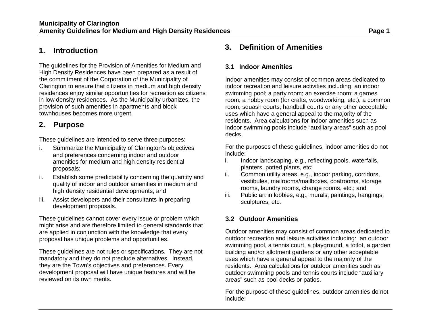## <span id="page-2-0"></span>**1. Introduction**

The guidelines for the Provision of Amenities for Medium and High Density Residences have been prepared as a result of the commitment of the Corporation of the Municipality of Clarington to ensure that citizens in medium and high density residences enjoy similar opportunities for recreation as citizens in low density residences. As the Municipality urbanizes, the provision of such amenities in apartments and block townhouses becomes more urgent.

## <span id="page-2-1"></span>**2. Purpose**

These guidelines are intended to serve three purposes:

- i. Summarize the Municipality of Clarington's objectives and preferences concerning indoor and outdoor amenities for medium and high density residential proposals;
- ii. Establish some predictability concerning the quantity and quality of indoor and outdoor amenities in medium and high density residential developments; and
- iii. Assist developers and their consultants in preparing development proposals.

These guidelines cannot cover every issue or problem which might arise and are therefore limited to general standards that are applied in conjunction with the knowledge that every proposal has unique problems and opportunities.

These guidelines are not rules or specifications. They are not mandatory and they do not preclude alternatives. Instead, they are the Town's objectives and preferences. Every development proposal will have unique features and will be reviewed on its own merits.

## <span id="page-2-2"></span>**3. Definition of Amenities**

### <span id="page-2-3"></span>**3.1 Indoor Amenities**

Indoor amenities may consist of common areas dedicated to indoor recreation and leisure activities including: an indoor swimming pool; a party room; an exercise room; a games room; a hobby room (for crafts, woodworking, etc.); a common room; squash courts; handball courts or any other acceptable uses which have a general appeal to the majority of the residents. Area calculations for indoor amenities such as indoor swimming pools include "auxiliary areas" such as pool decks.

For the purposes of these guidelines, indoor amenities do not include:

- i. Indoor landscaping, e.g., reflecting pools, waterfalls, planters, potted plants, etc;
- ii. Common utility areas, e.g., indoor parking, corridors, vestibules, mailrooms/mailboxes, coatrooms, storage rooms, laundry rooms, change rooms, etc.; and
- iii. Public art in lobbies, e.g., murals, paintings, hangings, sculptures, etc.

## <span id="page-2-4"></span>**3.2 Outdoor Amenities**

Outdoor amenities may consist of common areas dedicated to outdoor recreation and leisure activities including: an outdoor swimming pool, a tennis court, a playground, a totlot, a garden building and/or allotment gardens or any other acceptable uses which have a general appeal to the majority of the residents. Area calculations for outdoor amenities such as outdoor swimming pools and tennis courts include "auxiliary areas" such as pool decks or patios.

For the purpose of these guidelines, outdoor amenities do not include: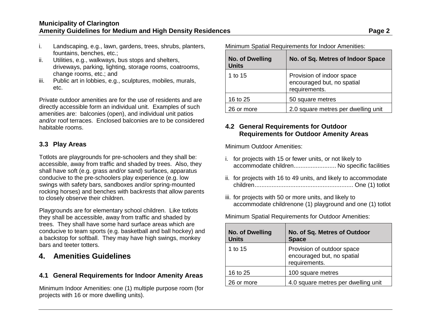- i. Landscaping, e.g., lawn, gardens, trees, shrubs, planters, fountains, benches, etc.;
- ii. Utilities, e.g., walkways, bus stops and shelters, driveways, parking, lighting, storage rooms, coatrooms, change rooms, etc.; and
- iii. Public art in lobbies, e.g., sculptures, mobiles, murals, etc.

Private outdoor amenities are for the use of residents and are directly accessible form an individual unit. Examples of such amenities are: balconies (open), and individual unit patios and/or roof terraces. Enclosed balconies are to be considered habitable rooms.

#### <span id="page-3-0"></span>**3.3 Play Areas**

Totlots are playgrounds for pre-schoolers and they shall be: accessible, away from traffic and shaded by trees. Also, they shall have soft (e.g. grass and/or sand) surfaces, apparatus conducive to the pre-schoolers play experience (e.g. low swings with safety bars, sandboxes and/or spring-mounted rocking horses) and benches with backrests that allow parents to closely observe their children.

Playgrounds are for elementary school children. Like totlots they shall be accessible, away from traffic and shaded by trees. They shall have some hard surface areas which are conducive to team sports (e.g. basketball and ball hockey) and a backstop for softball. They may have high swings, monkey bars and teeter totters.

## <span id="page-3-1"></span>**4. Amenities Guidelines**

#### <span id="page-3-2"></span>**4.1 General Requirements for Indoor Amenity Areas**

Minimum Indoor Amenities: one (1) multiple purpose room (for projects with 16 or more dwelling units).

Minimum Spatial Requirements for Indoor Amenities:

| <b>No. of Dwelling</b><br><b>Units</b> | No. of Sq. Metres of Indoor Space                                        |
|----------------------------------------|--------------------------------------------------------------------------|
| 1 to 15                                | Provision of indoor space<br>encouraged but, no spatial<br>requirements. |
| 16 to 25                               | 50 square metres                                                         |
| 26 or more                             | 2.0 square metres per dwelling unit                                      |

## <span id="page-3-3"></span>**4.2 General Requirements for Outdoor Requirements for Outdoor Amenity Areas**

Minimum Outdoor Amenities:

- i. for projects with 15 or fewer units, or not likely to accommodate children......................... No specific facilities
- ii. for projects with 16 to 49 units, and likely to accommodate children.......................................................... One (1) totlot
- iii. for projects with 50 or more units, and likely to accommodate childrenone (1) playground and one (1) totlot

Minimum Spatial Requirements for Outdoor Amenities:

| <b>No. of Dwelling</b><br><b>Units</b> | No. of Sq. Metres of Outdoor<br><b>Space</b>                              |
|----------------------------------------|---------------------------------------------------------------------------|
| 1 to 15                                | Provision of outdoor space<br>encouraged but, no spatial<br>requirements. |
| 16 to 25                               | 100 square metres                                                         |
| 26 or more                             | 4.0 square metres per dwelling unit                                       |